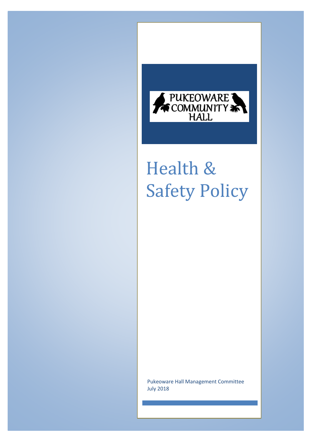

## Health & Safety Policy

Pukeoware Hall Management Committee July 2018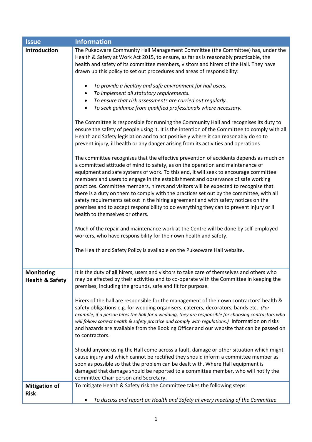| <b>Issue</b>                                    | <b>Information</b>                                                                                                                                                                                                                                                                                                                                                                                                                                                                                                                                                                                                                                                                                                                                                                                                                                                                                                                                                                                                                                                                                                                                                                                                                                                                                                                                                                                                                                                                                                                                                                                                                                                                                                                                                                                                                                                                                                                                                       |
|-------------------------------------------------|--------------------------------------------------------------------------------------------------------------------------------------------------------------------------------------------------------------------------------------------------------------------------------------------------------------------------------------------------------------------------------------------------------------------------------------------------------------------------------------------------------------------------------------------------------------------------------------------------------------------------------------------------------------------------------------------------------------------------------------------------------------------------------------------------------------------------------------------------------------------------------------------------------------------------------------------------------------------------------------------------------------------------------------------------------------------------------------------------------------------------------------------------------------------------------------------------------------------------------------------------------------------------------------------------------------------------------------------------------------------------------------------------------------------------------------------------------------------------------------------------------------------------------------------------------------------------------------------------------------------------------------------------------------------------------------------------------------------------------------------------------------------------------------------------------------------------------------------------------------------------------------------------------------------------------------------------------------------------|
| Introduction                                    | The Pukeoware Community Hall Management Committee (the Committee) has, under the<br>Health & Safety at Work Act 2015, to ensure, as far as is reasonably practicable, the<br>health and safety of its committee members, visitors and hirers of the Hall. They have<br>drawn up this policy to set out procedures and areas of responsibility:<br>To provide a healthy and safe environment for hall users.<br>To implement all statutory requirements.<br>To ensure that risk assessments are carried out regularly.<br>To seek guidance from qualified professionals where necessary.<br>The Committee is responsible for running the Community Hall and recognises its duty to<br>ensure the safety of people using it. It is the intention of the Committee to comply with all<br>Health and Safety legislation and to act positively where it can reasonably do so to<br>prevent injury, ill health or any danger arising from its activities and operations<br>The committee recognises that the effective prevention of accidents depends as much on<br>a committed attitude of mind to safety, as on the operation and maintenance of<br>equipment and safe systems of work. To this end, it will seek to encourage committee<br>members and users to engage in the establishment and observance of safe working<br>practices. Committee members, hirers and visitors will be expected to recognise that<br>there is a duty on them to comply with the practices set out by the committee, with all<br>safety requirements set out in the hiring agreement and with safety notices on the<br>premises and to accept responsibility to do everything they can to prevent injury or ill<br>health to themselves or others.<br>Much of the repair and maintenance work at the Centre will be done by self-employed<br>workers, who have responsibility for their own health and safety.<br>The Health and Safety Policy is available on the Pukeoware Hall website. |
| <b>Monitoring</b><br><b>Health &amp; Safety</b> | It is the duty of all hirers, users and visitors to take care of themselves and others who<br>may be affected by their activities and to co-operate with the Committee in keeping the<br>premises, including the grounds, safe and fit for purpose.<br>Hirers of the hall are responsible for the management of their own contractors' health &<br>safety obligations e.g. for wedding organisers, caterers, decorators, bands etc. (For<br>example, if a person hires the hall for a wedding, they are responsible for choosing contractors who<br>will follow correct health & safety practice and comply with regulations.) Information on risks<br>and hazards are available from the Booking Officer and our website that can be passed on<br>to contractors.<br>Should anyone using the Hall come across a fault, damage or other situation which might<br>cause injury and which cannot be rectified they should inform a committee member as<br>soon as possible so that the problem can be dealt with. Where Hall equipment is<br>damaged that damage should be reported to a committee member, who will notify the<br>committee Chair person and Secretary.                                                                                                                                                                                                                                                                                                                                                                                                                                                                                                                                                                                                                                                                                                                                                                                                    |
| <b>Mitigation of</b>                            | To mitigate Health & Safety risk the Committee takes the following steps:                                                                                                                                                                                                                                                                                                                                                                                                                                                                                                                                                                                                                                                                                                                                                                                                                                                                                                                                                                                                                                                                                                                                                                                                                                                                                                                                                                                                                                                                                                                                                                                                                                                                                                                                                                                                                                                                                                |
| <b>Risk</b>                                     | To discuss and report on Health and Safety at every meeting of the Committee                                                                                                                                                                                                                                                                                                                                                                                                                                                                                                                                                                                                                                                                                                                                                                                                                                                                                                                                                                                                                                                                                                                                                                                                                                                                                                                                                                                                                                                                                                                                                                                                                                                                                                                                                                                                                                                                                             |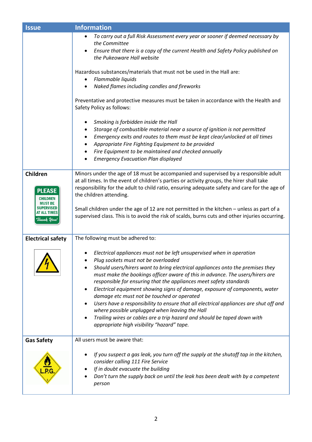| <b>Issue</b>                                                                                                      | <b>Information</b>                                                                                                                                                                                                                                                                                                                                                                                                                                                                                                                                                                                                                                                                                                                                                                                                                                                                                 |
|-------------------------------------------------------------------------------------------------------------------|----------------------------------------------------------------------------------------------------------------------------------------------------------------------------------------------------------------------------------------------------------------------------------------------------------------------------------------------------------------------------------------------------------------------------------------------------------------------------------------------------------------------------------------------------------------------------------------------------------------------------------------------------------------------------------------------------------------------------------------------------------------------------------------------------------------------------------------------------------------------------------------------------|
|                                                                                                                   | To carry out a full Risk Assessment every year or sooner if deemed necessary by<br>the Committee<br>Ensure that there is a copy of the current Health and Safety Policy published on<br>$\bullet$<br>the Pukeoware Hall website<br>Hazardous substances/materials that must not be used in the Hall are:<br>Flammable liquids<br>Naked flames including candles and fireworks<br>$\bullet$<br>Preventative and protective measures must be taken in accordance with the Health and<br>Safety Policy as follows:<br>Smoking is forbidden inside the Hall<br>Storage of combustible material near a source of ignition is not permitted<br>$\bullet$<br>Emergency exits and routes to them must be kept clear/unlocked at all times<br>٠<br>Appropriate Fire Fighting Equipment to be provided<br>Fire Equipment to be maintained and checked annually<br><b>Emergency Evacuation Plan displayed</b> |
| <b>Children</b><br><b>PLEASE</b><br><b>CHILDREN</b><br><b>MUST BE</b><br>SUPERVISED<br>AT ALL TIMES<br>Thank You! | Minors under the age of 18 must be accompanied and supervised by a responsible adult<br>at all times. In the event of children's parties or activity groups, the hirer shall take<br>responsibility for the adult to child ratio, ensuring adequate safety and care for the age of<br>the children attending.<br>Small children under the age of 12 are not permitted in the kitchen - unless as part of a<br>supervised class. This is to avoid the risk of scalds, burns cuts and other injuries occurring.                                                                                                                                                                                                                                                                                                                                                                                      |
| <b>Electrical safety</b>                                                                                          | The following must be adhered to:                                                                                                                                                                                                                                                                                                                                                                                                                                                                                                                                                                                                                                                                                                                                                                                                                                                                  |
|                                                                                                                   | Electrical appliances must not be left unsupervised when in operation<br>Plug sockets must not be overloaded<br>Should users/hirers want to bring electrical appliances onto the premises they<br>must make the bookings officer aware of this in advance. The users/hirers are<br>responsible for ensuring that the appliances meet safety standards<br>Electrical equipment showing signs of damage, exposure of components, water<br>damage etc must not be touched or operated<br>Users have a responsibility to ensure that all electrical appliances are shut off and<br>where possible unplugged when leaving the Hall<br>Trailing wires or cables are a trip hazard and should be taped down with<br>appropriate high visibility "hazard" tape.                                                                                                                                            |
| <b>Gas Safety</b>                                                                                                 | All users must be aware that:                                                                                                                                                                                                                                                                                                                                                                                                                                                                                                                                                                                                                                                                                                                                                                                                                                                                      |
|                                                                                                                   | If you suspect a gas leak, you turn off the supply at the shutoff tap in the kitchen,<br>consider calling 111 Fire Service<br>If in doubt evacuate the building<br>Don't turn the supply back on until the leak has been dealt with by a competent<br>person                                                                                                                                                                                                                                                                                                                                                                                                                                                                                                                                                                                                                                       |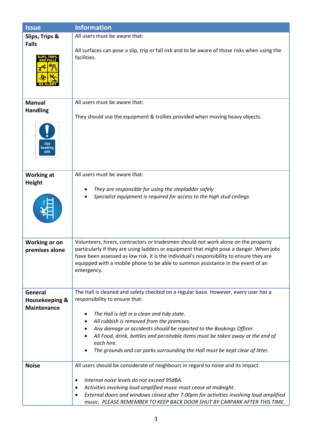| <b>Issue</b>                               | <b>Information</b>                                                                                                                                                                                                                                                                   |
|--------------------------------------------|--------------------------------------------------------------------------------------------------------------------------------------------------------------------------------------------------------------------------------------------------------------------------------------|
| Slips, Trips &                             | All users must be aware that:                                                                                                                                                                                                                                                        |
| <b>Falls</b>                               | All surfaces can pose a slip, trip or fall risk and to be aware of those risks when using the<br>facilities.                                                                                                                                                                         |
| <b>Manual</b>                              | All users must be aware that:                                                                                                                                                                                                                                                        |
| <b>Handling</b><br>Use<br>handling<br>aids | They should use the equipment & trollies provided when moving heavy objects.                                                                                                                                                                                                         |
| <b>Working at</b>                          | All users must be aware that:                                                                                                                                                                                                                                                        |
| <b>Height</b>                              | They are responsible for using the stepladder safely<br>Specialist equipment is required for access to the high stud ceilings                                                                                                                                                        |
| <b>Working or on</b>                       | Volunteers, hirers, contractors or tradesmen should not work alone on the property                                                                                                                                                                                                   |
| premises alone                             | particularly if they are using ladders or equipment that might pose a danger. When jobs<br>have been assessed as low risk, it is the individual's responsibility to ensure they are<br>equipped with a mobile phone to be able to summon assistance in the event of an<br>emergency. |
| General                                    | The Hall is cleaned and safety checked on a regular basis. However, every user has a                                                                                                                                                                                                 |
| Housekeeping &                             | responsibility to ensure that:                                                                                                                                                                                                                                                       |
| <b>Maintenance</b>                         | The Hall is left in a clean and tidy state.                                                                                                                                                                                                                                          |
|                                            | All rubbish is removed from the premises.<br>٠                                                                                                                                                                                                                                       |
|                                            | Any damage or accidents should be reported to the Bookings Officer.                                                                                                                                                                                                                  |
|                                            | All Food, drink, bottles and perishable items must be taken away at the end of<br>each hire.                                                                                                                                                                                         |
|                                            | The grounds and car parks surrounding the Hall must be kept clear of litter.                                                                                                                                                                                                         |
| <b>Noise</b>                               | All users should be considerate of neighbours in regard to noise and its impact.                                                                                                                                                                                                     |
|                                            | Internal noise levels do not exceed 95dBA.<br>٠                                                                                                                                                                                                                                      |
|                                            | Activities involving loud amplified music must cease at midnight.<br>$\bullet$                                                                                                                                                                                                       |
|                                            | External doors and windows closed after 7.00pm for activities involving loud amplified<br>٠                                                                                                                                                                                          |
|                                            | music. PLEASE REMEMBER TO KEEP BACK DOOR SHUT BY CARPARK AFTER THIS TIME.                                                                                                                                                                                                            |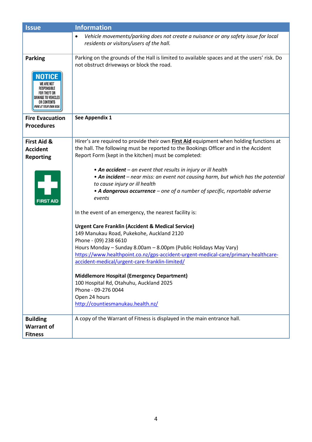| <b>Issue</b>                                                                                                                                             | <b>Information</b>                                                                                                                                                                                                                                                                                                                                                                                                                                                                                                                                                                                                                                                                                                                                                                                                                                                                                                                                                                                                                                                                                                     |
|----------------------------------------------------------------------------------------------------------------------------------------------------------|------------------------------------------------------------------------------------------------------------------------------------------------------------------------------------------------------------------------------------------------------------------------------------------------------------------------------------------------------------------------------------------------------------------------------------------------------------------------------------------------------------------------------------------------------------------------------------------------------------------------------------------------------------------------------------------------------------------------------------------------------------------------------------------------------------------------------------------------------------------------------------------------------------------------------------------------------------------------------------------------------------------------------------------------------------------------------------------------------------------------|
|                                                                                                                                                          | Vehicle movements/parking does not create a nuisance or any safety issue for local<br>$\bullet$<br>residents or visitors/users of the hall.                                                                                                                                                                                                                                                                                                                                                                                                                                                                                                                                                                                                                                                                                                                                                                                                                                                                                                                                                                            |
| <b>Parking</b><br><b>NOTICE</b><br>WE ARE NOT<br><b>RESPONSIBLE</b><br>FOR THEFT OR<br><b>DAMAGE TO VEHICLES</b><br>OR CONTENTS<br>PARK AT YOUR OWN RISK | Parking on the grounds of the Hall is limited to available spaces and at the users' risk. Do<br>not obstruct driveways or block the road.                                                                                                                                                                                                                                                                                                                                                                                                                                                                                                                                                                                                                                                                                                                                                                                                                                                                                                                                                                              |
| <b>Fire Evacuation</b><br><b>Procedures</b>                                                                                                              | See Appendix 1                                                                                                                                                                                                                                                                                                                                                                                                                                                                                                                                                                                                                                                                                                                                                                                                                                                                                                                                                                                                                                                                                                         |
| First Aid &<br><b>Accident</b><br>Reporting<br><b>FIRST AID</b>                                                                                          | Hirer's are required to provide their own <b>First Aid</b> equipment when holding functions at<br>the hall. The following must be reported to the Bookings Officer and in the Accident<br>Report Form (kept in the kitchen) must be completed:<br>• An accident – an event that results in injury or ill health<br>• An incident - near miss: an event not causing harm, but which has the potential<br>to cause injury or ill health<br>• A dangerous occurrence – one of a number of specific, reportable adverse<br>events<br>In the event of an emergency, the nearest facility is:<br><b>Urgent Care Franklin (Accident &amp; Medical Service)</b><br>149 Manukau Road, Pukekohe, Auckland 2120<br>Phone - (09) 238 6610<br>Hours Monday - Sunday 8.00am - 8.00pm (Public Holidays May Vary)<br>https://www.healthpoint.co.nz/gps-accident-urgent-medical-care/primary-healthcare-<br>accident-medical/urgent-care-franklin-limited/<br><b>Middlemore Hospital (Emergency Department)</b><br>100 Hospital Rd, Otahuhu, Auckland 2025<br>Phone - 09-276 0044<br>Open 24 hours<br>http://countiesmanukau.health.nz/ |
| <b>Building</b><br><b>Warrant of</b><br><b>Fitness</b>                                                                                                   | A copy of the Warrant of Fitness is displayed in the main entrance hall.                                                                                                                                                                                                                                                                                                                                                                                                                                                                                                                                                                                                                                                                                                                                                                                                                                                                                                                                                                                                                                               |